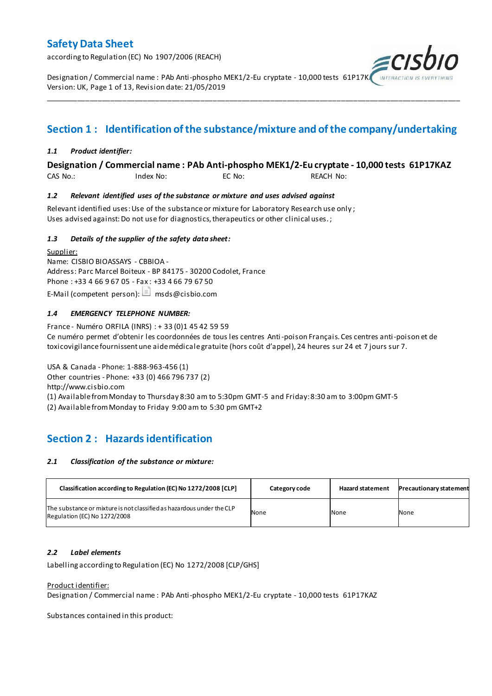according to Regulation (EC) No 1907/2006 (REACH)

Designation / Commercial name : PAb Anti-phospho MEK1/2-Eu cryptate - 10,000 tests 61P17K Version: UK, Page 1 of 13, Revision date: 21/05/2019

## **Section 1 : Identification of the substance/mixture and of the company/undertaking**

\_\_\_\_\_\_\_\_\_\_\_\_\_\_\_\_\_\_\_\_\_\_\_\_\_\_\_\_\_\_\_\_\_\_\_\_\_\_\_\_\_\_\_\_\_\_\_\_\_\_\_\_\_\_\_\_\_\_\_\_\_\_\_\_\_\_\_\_\_\_\_\_\_\_\_\_\_\_\_\_\_\_\_\_\_\_\_\_\_\_\_\_\_\_\_\_\_\_\_\_\_

#### *1.1 Product identifier:*

#### **Designation / Commercial name : PAb Anti-phospho MEK1/2-Eu cryptate - 10,000 tests 61P17KAZ**

CAS No.: Index No: EC No: REACH No:

#### *1.2 Relevant identified uses of the substance or mixture and uses advised against*

Relevant identified uses: Use of the substance or mixture for Laboratory Research use only ; Uses advised against: Do not use for diagnostics, therapeutics or other clinical uses.;

#### *1.3 Details of the supplier of the safety data sheet:*

Supplier: Name: CISBIO BIOASSAYS - CBBIOA - Address: Parc Marcel Boiteux - BP 84175 - 30200 Codolet, France Phone : +33 4 66 9 67 05 - Fax : +33 4 66 79 67 50 E-Mail (competent person):  $\Box$  msds@cisbio.com

#### *1.4 EMERGENCY TELEPHONE NUMBER:*

France - Numéro ORFILA (INRS) : + 33 (0)1 45 42 59 59 Ce numéro permet d'obtenir les coordonnées de tous les centres Anti-poison Français. Ces centres anti-poison et de toxicovigilance fournissent une aide médicale gratuite (hors coût d'appel), 24 heures sur 24 et 7 jours sur 7.

USA & Canada - Phone: 1-888-963-456 (1) Other countries - Phone: +33 (0) 466 796 737 (2) http://www.cisbio.com (1) Available from Monday to Thursday 8:30 am to 5:30pm GMT-5 and Friday: 8:30 am to 3:00pm GMT-5

(2) Available from Monday to Friday 9:00 am to 5:30 pm GMT+2

## **Section 2 : Hazards identification**

#### *2.1 Classification of the substance or mixture:*

| Classification according to Regulation (EC) No 1272/2008 [CLP]                                        | Category code | <b>Hazard statement</b> | <b>Precautionary statement</b> |
|-------------------------------------------------------------------------------------------------------|---------------|-------------------------|--------------------------------|
| The substance or mixture is not classified as hazardous under the CLP<br>Regulation (EC) No 1272/2008 | None          | None                    | None                           |

#### *2.2 Label elements*

Labelling according to Regulation (EC) No 1272/2008 [CLP/GHS]

#### Product identifier:

Designation / Commercial name : PAb Anti-phospho MEK1/2-Eu cryptate - 10,000 tests 61P17KAZ

Substances contained in this product: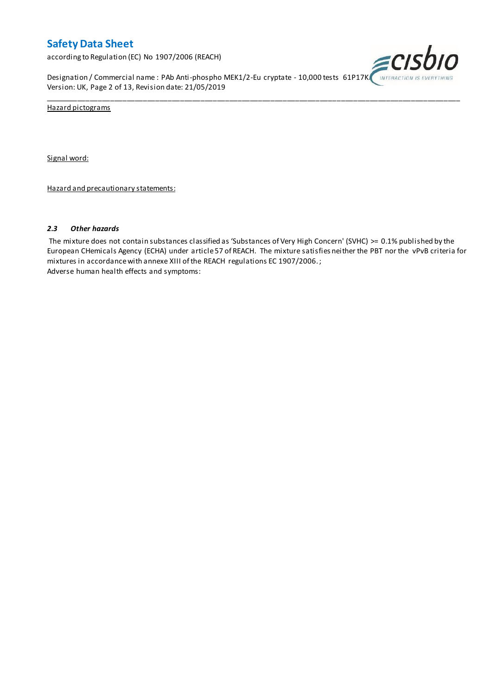according to Regulation (EC) No 1907/2006 (REACH)

Designation / Commercial name : PAb Anti-phospho MEK1/2-Eu cryptate - 10,000 tests 61P17K. INTERACTION IS EVI Version: UK, Page 2 of 13, Revision date: 21/05/2019



Hazard pictograms

Signal word:

Hazard and precautionary statements:

#### *2.3 Other hazards*

The mixture does not contain substances classified as 'Substances of Very High Concern' (SVHC) >= 0.1% published by the European CHemicals Agency (ECHA) under article 57 of REACH. The mixture satisfies neither the PBT nor the vPvB criteria for mixtures in accordance with annexe XIII of the REACH regulations EC 1907/2006. ; Adverse human health effects and symptoms:

\_\_\_\_\_\_\_\_\_\_\_\_\_\_\_\_\_\_\_\_\_\_\_\_\_\_\_\_\_\_\_\_\_\_\_\_\_\_\_\_\_\_\_\_\_\_\_\_\_\_\_\_\_\_\_\_\_\_\_\_\_\_\_\_\_\_\_\_\_\_\_\_\_\_\_\_\_\_\_\_\_\_\_\_\_\_\_\_\_\_\_\_\_\_\_\_\_\_\_\_\_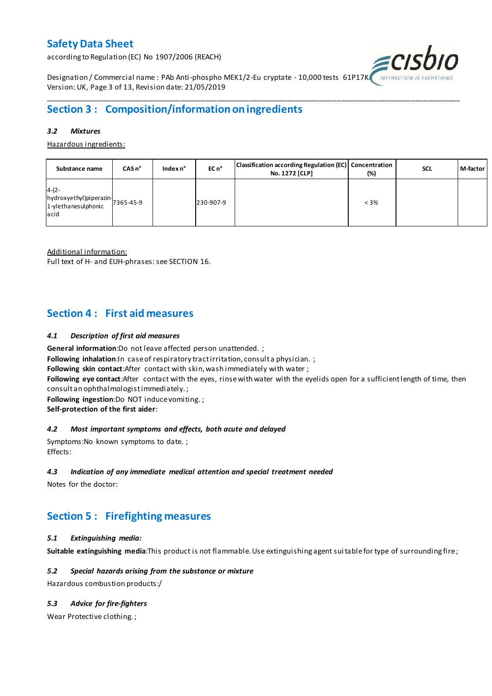according to Regulation (EC) No 1907/2006 (REACH)



Designation / Commercial name : PAb Anti-phospho MEK1/2-Eu cryptate - 10,000 tests 61P17K Version: UK, Page 3 of 13, Revision date: 21/05/2019

## **Section 3 : Composition/information on ingredients**

#### *3.2 Mixtures*

Hazardous ingredients:

| Substance name                                                               | CASn <sup>°</sup> | Index n° | EC n <sup>o</sup> | Classification according Regulation (EC) Concentration<br>No. 1272 [CLP] | (%)     | <b>SCL</b> | M-factor |
|------------------------------------------------------------------------------|-------------------|----------|-------------------|--------------------------------------------------------------------------|---------|------------|----------|
| $4-(2-$<br>hydroxyethyl)piperazin-<br>1-ylethanesulphonic 7365-45-9<br>lacid |                   |          | 230-907-9         |                                                                          | $< 3\%$ |            |          |

\_\_\_\_\_\_\_\_\_\_\_\_\_\_\_\_\_\_\_\_\_\_\_\_\_\_\_\_\_\_\_\_\_\_\_\_\_\_\_\_\_\_\_\_\_\_\_\_\_\_\_\_\_\_\_\_\_\_\_\_\_\_\_\_\_\_\_\_\_\_\_\_\_\_\_\_\_\_\_\_\_\_\_\_\_\_\_\_\_\_\_\_\_\_\_\_\_\_\_\_\_

Additional information:

Full text of H- and EUH-phrases: see SECTION 16.

### **Section 4 : First aid measures**

#### *4.1 Description of first aid measures*

**General information**:Do not leave affected person unattended. ;

**Following inhalation:**In case of respiratory tractirritation, consult a physician. ;

**Following skin contact**:After contact with skin, wash immediately with water ;

**Following eye contact**:After contact with the eyes, rinse with water with the eyelids open for a sufficient length of time, then consult an ophthalmologist immediately. ;

**Following ingestion**:Do NOT induce vomiting. ;

**Self-protection of the first aider**:

#### *4.2 Most important symptoms and effects, both acute and delayed*

Symptoms:No known symptoms to date. ; Effects:

#### *4.3 Indication of any immediate medical attention and special treatment needed*

Notes for the doctor:

## **Section 5 : Firefighting measures**

#### *5.1 Extinguishing media:*

**Suitable extinguishing media**:This product is not flammable. Use extinguishing agent suitable for type of surrounding fire ;

#### *5.2 Special hazards arising from the substance or mixture*

Hazardous combustion products:/

#### *5.3 Advice for fire-fighters*

Wear Protective clothing. ;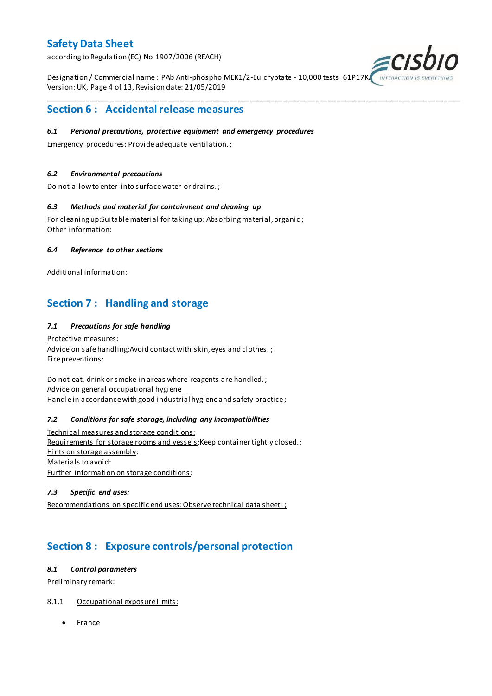according to Regulation (EC) No 1907/2006 (REACH)

Designation / Commercial name : PAb Anti-phospho MEK1/2-Eu cryptate - 10,000 tests 61P17K Version: UK, Page 4 of 13, Revision date: 21/05/2019

\_\_\_\_\_\_\_\_\_\_\_\_\_\_\_\_\_\_\_\_\_\_\_\_\_\_\_\_\_\_\_\_\_\_\_\_\_\_\_\_\_\_\_\_\_\_\_\_\_\_\_\_\_\_\_\_\_\_\_\_\_\_\_\_\_\_\_\_\_\_\_\_\_\_\_\_\_\_\_\_\_\_\_\_\_\_\_\_\_\_\_\_\_\_\_\_\_\_\_\_\_



### **Section 6 : Accidental release measures**

#### *6.1 Personal precautions, protective equipment and emergency procedures*

Emergency procedures: Provide adequate ventilation. ;

#### *6.2 Environmental precautions*

Do not allow to enter into surface water or drains. ;

#### *6.3 Methods and material for containment and cleaning up*

For cleaning up:Suitable material for taking up: Absorbing material, organic ; Other information:

#### *6.4 Reference to other sections*

Additional information:

## **Section 7 : Handling and storage**

#### *7.1 Precautions for safe handling*

Protective measures: Advice on safe handling: Avoid contact with skin, eyes and clothes.; Fire preventions:

Do not eat, drink or smoke in areas where reagents are handled. ; Advice on general occupational hygiene Handle in accordance with good industrial hygiene and safety practice ;

#### *7.2 Conditions for safe storage, including any incompatibilities*

Technical measures and storage conditions: Requirements for storage rooms and vessels: Keep container tightly closed.; Hints on storage assembly: Materials to avoid: Further information on storage conditions:

#### *7.3 Specific end uses:*

Recommendations on specific end uses: Observe technical data sheet. ;

## **Section 8 : Exposure controls/personal protection**

#### *8.1 Control parameters*

Preliminary remark:

#### 8.1.1 Occupational exposure limits:

• France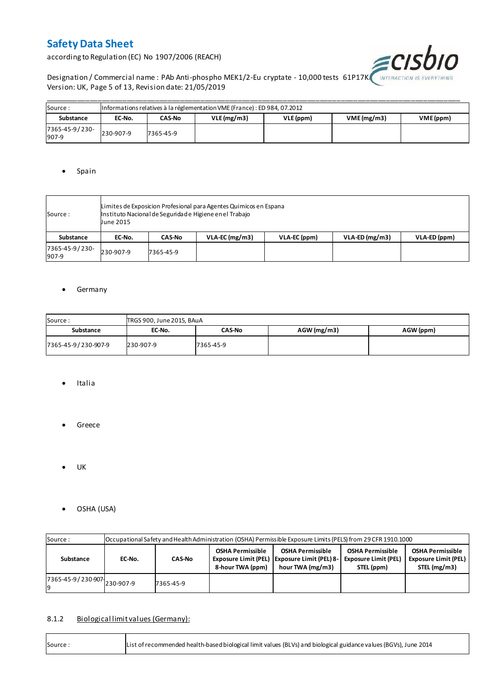according to Regulation (EC) No 1907/2006 (REACH)



Designation / Commercial name : PAb Anti-phospho MEK1/2-Eu cryptate - 10,000 tests 61P17K. INTERACTION IS EVERYTHING Version: UK, Page 5 of 13, Revision date: 21/05/2019

| Source:                 | Informations relatives à la réglementation VME (France) : ED 984, 07.2012 |           |  |           |                         |  |  |  |  |  |  |  |
|-------------------------|---------------------------------------------------------------------------|-----------|--|-----------|-------------------------|--|--|--|--|--|--|--|
| Substance               | VLE(mg/m3)<br>CAS-No<br>EC-No.                                            |           |  | VLE (ppm) | VME(mg/m3)<br>VME (ppm) |  |  |  |  |  |  |  |
| 7365-45-9/230-<br>907-9 | 230-907-9                                                                 | 7365-45-9 |  |           |                         |  |  |  |  |  |  |  |

#### • Spain

| Source :                | Limites de Exposicion Profesional para Agentes Quimicos en Espana<br>Instituto Nacional de Seguridade Higiene en el Trabajo<br><b>June 2015</b> |               |                  |              |                  |              |  |  |  |  |
|-------------------------|-------------------------------------------------------------------------------------------------------------------------------------------------|---------------|------------------|--------------|------------------|--------------|--|--|--|--|
| Substance               | EC-No.                                                                                                                                          | <b>CAS-No</b> | $VLA-EC$ (mg/m3) | VLA-EC (ppm) | $VLA-ED (mg/m3)$ | VLA-ED (ppm) |  |  |  |  |
| 7365-45-9/230-<br>907-9 | 230-907-9                                                                                                                                       | 7365-45-9     |                  |              |                  |              |  |  |  |  |

#### **•** Germany

| Source:             | TRGS 900, June 2015, BAuA |               |               |           |  |  |  |  |  |  |  |
|---------------------|---------------------------|---------------|---------------|-----------|--|--|--|--|--|--|--|
| Substance           | EC-No.                    | <b>CAS-No</b> | $AGW$ (mg/m3) | AGW (ppm) |  |  |  |  |  |  |  |
| 7365-45-9/230-907-9 | 230-907-9                 | 7365-45-9     |               |           |  |  |  |  |  |  |  |

- Italia
- **•** Greece
- $\bullet$  UK
- OSHA (USA)

| Source:                     | Occupational Safety and Health Administration (OSHA) Permissible Exposure Limits (PELS) from 29 CFR 1910.1000 |               |  |                                                                                               |                                                                                                                                                |  |  |  |  |  |  |
|-----------------------------|---------------------------------------------------------------------------------------------------------------|---------------|--|-----------------------------------------------------------------------------------------------|------------------------------------------------------------------------------------------------------------------------------------------------|--|--|--|--|--|--|
| Substance                   | EC-No.                                                                                                        | <b>CAS-No</b> |  | <b>OSHA Permissible</b><br>Exposure Limit (PEL)   Exposure Limit (PEL) 8-<br>hour TWA (mg/m3) | <b>OSHA Permissible</b><br><b>OSHA Permissible</b><br><b>Exposure Limit (PEL)</b><br><b>Exposure Limit (PEL)</b><br>STEL (mg/m3)<br>STEL (ppm) |  |  |  |  |  |  |
| 7365-45-9/230-907 230-907-9 |                                                                                                               | 7365-45-9     |  |                                                                                               |                                                                                                                                                |  |  |  |  |  |  |

#### 8.1.2 Biological limit values (Germany):

| Source: | List of recommended health-based biological limit values (BLVs) and biological guidance values (BGVs), June 2014 |
|---------|------------------------------------------------------------------------------------------------------------------|
|---------|------------------------------------------------------------------------------------------------------------------|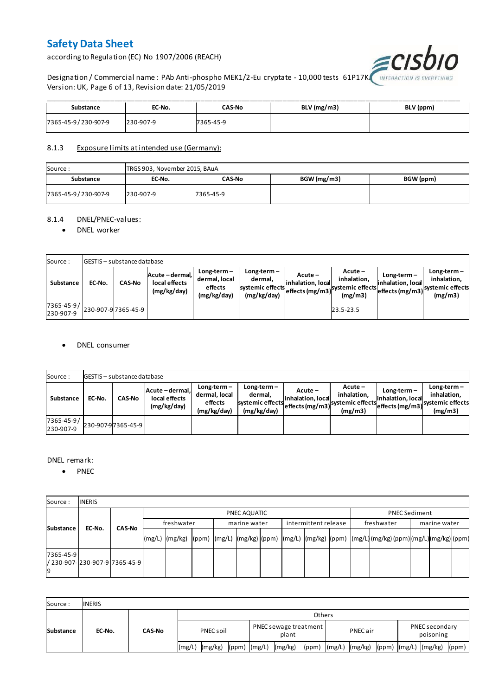according to Regulation (EC) No 1907/2006 (REACH)



Designation / Commercial name : PAb Anti-phospho MEK1/2-Eu cryptate - 10,000 tests 61P17K. Version: UK, Page 6 of 13, Revision date: 21/05/2019

| Substance           | EC-No.    | CAS-No    | BLV (mg/m3) | BLV (ppm) |
|---------------------|-----------|-----------|-------------|-----------|
| 7365-45-9/230-907-9 | 230-907-9 | 7365-45-9 |             |           |

#### 8.1.3 Exposure limits at intended use (Germany):

| Source:             | TRGS 903, November 2015, BAuA |           |             |           |  |  |  |  |  |  |
|---------------------|-------------------------------|-----------|-------------|-----------|--|--|--|--|--|--|
| Substance           | EC-No.                        | CAS-No    | BGW (mg/m3) | BGW (ppm) |  |  |  |  |  |  |
| 7365-45-9/230-907-9 | 230-907-9                     | 7365-45-9 |             |           |  |  |  |  |  |  |

#### 8.1.4 DNEL/PNEC-values:

#### • DNEL worker

| Source:                 |        | <b>GESTIS</b> - substance database |                                                 |                                                          |                                                           |                                 |                                                                            |                                    |                                                                                 |
|-------------------------|--------|------------------------------------|-------------------------------------------------|----------------------------------------------------------|-----------------------------------------------------------|---------------------------------|----------------------------------------------------------------------------|------------------------------------|---------------------------------------------------------------------------------|
| Substance               | EC-No. | <b>CAS-No</b>                      | Acute - dermal,<br>local effects<br>(mg/kg/day) | $Long-term -$<br>dermal, local<br>effects<br>(mg/kg/day) | Long-term –<br>dermal.<br>systemic effects<br>(mg/kg/day) | $Acute -$<br>linhalation. local | $Acute -$<br>inhalation.<br>vuleffects (mg/m3) systemic effects<br>(mg/m3) | $Long-term -$<br>inhalation, local | $Long-term -$<br>inhalation.<br>~~ leffects (mg/m3) systemic effects<br>(mg/m3) |
| 7365-45-9/<br>230-907-9 |        | 230-907-97365-45-9                 |                                                 |                                                          |                                                           |                                 | 23.5-23.5                                                                  |                                    |                                                                                 |

#### DNEL consumer

| Source:                       |        | GESTIS - substance database |                                               |                                                          |                                                             |                              |                                                                           |                                  |                                                                              |  |  |  |  |  |
|-------------------------------|--------|-----------------------------|-----------------------------------------------|----------------------------------------------------------|-------------------------------------------------------------|------------------------------|---------------------------------------------------------------------------|----------------------------------|------------------------------------------------------------------------------|--|--|--|--|--|
| Substance                     | EC-No. | <b>CAS-No</b>               | Acute-dermal.<br>local effects<br>(mg/kg/day) | $Long-term -$<br>dermal, local<br>effects<br>(mg/kg/day) | $Long-term -$<br>dermal,<br>systemic effects<br>(mg/kg/day) | Acute –<br>inhalation, local | $Acute -$<br>inhalation.<br>"leffects (mg/m3) systemic effects<br>(mg/m3) | Long-term –<br>inhalation, local | $Long-term -$<br>inhalation.<br>weffects (mg/m3) systemic effects<br>(mg/m3) |  |  |  |  |  |
| $7365 - 45 - 9/$<br>230-907-9 |        | 230-907-97365-45-9          |                                               |                                                          |                                                             |                              |                                                                           |                                  |                                                                              |  |  |  |  |  |

#### DNEL remark:

• PNEC

| Source:         | <b>INERIS</b>                  |               |            |                                                                                                                  |  |  |              |  |                      |  |            |                      |              |  |  |  |
|-----------------|--------------------------------|---------------|------------|------------------------------------------------------------------------------------------------------------------|--|--|--------------|--|----------------------|--|------------|----------------------|--------------|--|--|--|
| Substance       |                                |               |            | PNEC AQUATIC                                                                                                     |  |  |              |  |                      |  |            | <b>PNEC Sediment</b> |              |  |  |  |
|                 | EC-No.                         | <b>CAS-No</b> | freshwater |                                                                                                                  |  |  | marine water |  | intermittent release |  | freshwater |                      | marine water |  |  |  |
|                 |                                |               |            | (mg/L)  (mg/kg)  (ppm)  (mg/L)  (mg/kg) (ppm)  (mg/L)  (mg/kg)  (ppm)  (mg/L) (mg/kg) (ppm) (mg/L) (mg/kg) (ppm) |  |  |              |  |                      |  |            |                      |              |  |  |  |
| 7365-45-9<br>19 | / 230-907- 230-907-9 7365-45-9 |               |            |                                                                                                                  |  |  |              |  |                      |  |            |                      |              |  |  |  |

| Source:          | <b>INERIS</b> |               |                    |                                      |                |                               |  |  |  |  |  |
|------------------|---------------|---------------|--------------------|--------------------------------------|----------------|-------------------------------|--|--|--|--|--|
| <b>Substance</b> | EC-No.        | <b>CAS-No</b> | <b>Others</b>      |                                      |                |                               |  |  |  |  |  |
|                  |               |               | PNEC soil          | PNEC sewage treatment<br>plant       | PNEC air       | PNEC secondary<br>poisoning   |  |  |  |  |  |
|                  |               |               | (mg/kg)<br>l(mg/L) | (mg/kg)<br>$(ppm)$ $(mg/L)$<br>(ppm) | (mg/L) (mg/kg) | (ppm) (mg/L) (mg/kg)<br>(ppm) |  |  |  |  |  |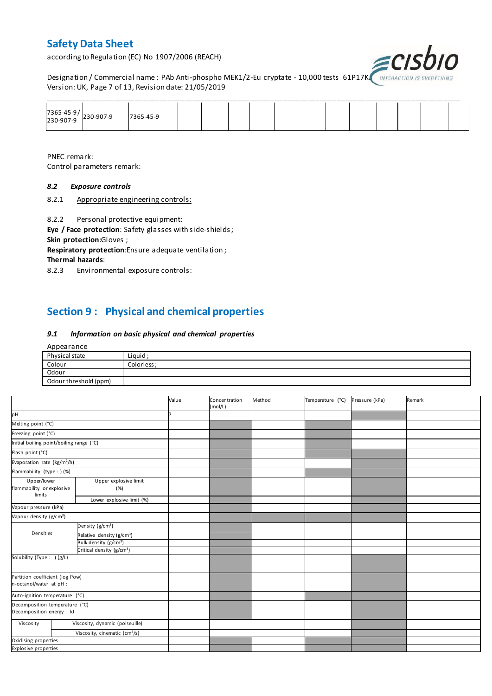according to Regulation (EC) No 1907/2006 (REACH)



Designation / Commercial name : PAb Anti-phospho MEK1/2-Eu cryptate - 10,000 tests 61P17KA INTERACTION IS I Version: UK, Page 7 of 13, Revision date: 21/05/2019

| 7365-45-9/<br>230-907-9 230-907-9 | 7365-45-9 |  |  |  |  |  |  |
|-----------------------------------|-----------|--|--|--|--|--|--|

PNEC remark: Control parameters remark:

#### *8.2 Exposure controls*

8.2.1 Appropriate engineering controls:

8.2.2 Personal protective equipment:

**Eye / Face protection**: Safety glasses with side-shields ; **Skin protection**:Gloves ;

**Respiratory protection**:Ensure adequate ventilation ;

**Thermal hazards**:

8.2.3 Environmental exposure controls:

## **Section 9 : Physical and chemical properties**

#### *9.1 Information on basic physical and chemical properties*

| <u>Appearance</u>     |             |
|-----------------------|-------------|
| Physical state        | Liquid ;    |
| Colour                | Colorless ; |
| Odour                 |             |
| Odour threshold (ppm) |             |

|                                                             |                                               | Value | Concentration<br>(mol/L) | Method | Temperature (°C) | Pressure (kPa) | Remark |
|-------------------------------------------------------------|-----------------------------------------------|-------|--------------------------|--------|------------------|----------------|--------|
| pH                                                          |                                               |       |                          |        |                  |                |        |
| Melting point (°C)                                          |                                               |       |                          |        |                  |                |        |
| Freezing point (°C)                                         |                                               |       |                          |        |                  |                |        |
| Initial boiling point/boiling range (°C)                    |                                               |       |                          |        |                  |                |        |
| Flash point (°C)                                            |                                               |       |                          |        |                  |                |        |
| Evaporation rate (kg/m <sup>2</sup> /h)                     |                                               |       |                          |        |                  |                |        |
| Flammability (type : ) (%)                                  |                                               |       |                          |        |                  |                |        |
| Upper/lower<br>flammability or explosive                    | Upper explosive limit<br>(%)                  |       |                          |        |                  |                |        |
| limits                                                      | Lower explosive limit (%)                     |       |                          |        |                  |                |        |
| Vapour pressure (kPa)                                       |                                               |       |                          |        |                  |                |        |
| Vapour density (g/cm <sup>3</sup> )                         |                                               |       |                          |        |                  |                |        |
|                                                             | Density (g/cm <sup>3</sup> )                  |       |                          |        |                  |                |        |
| Densities                                                   | Relative density (g/cm <sup>3</sup> )         |       |                          |        |                  |                |        |
|                                                             | Bulk density (g/cm <sup>3</sup> )             |       |                          |        |                  |                |        |
|                                                             | Critical density (g/cm <sup>3</sup> )         |       |                          |        |                  |                |        |
| Solubility (Type: ) (g/L)                                   |                                               |       |                          |        |                  |                |        |
| Partition coefficient (log Pow)<br>n-octanol/water at pH :  |                                               |       |                          |        |                  |                |        |
| Auto-ignition temperature (°C)                              |                                               |       |                          |        |                  |                |        |
| Decomposition temperature (°C)<br>Decomposition energy : kJ |                                               |       |                          |        |                  |                |        |
| Viscosity                                                   | Viscosity, dynamic (poiseuille)               |       |                          |        |                  |                |        |
|                                                             | Viscosity, cinematic $\text{(cm}^3\text{/s)}$ |       |                          |        |                  |                |        |
| Oxidising properties                                        |                                               |       |                          |        |                  |                |        |
| <b>Explosive properties</b>                                 |                                               |       |                          |        |                  |                |        |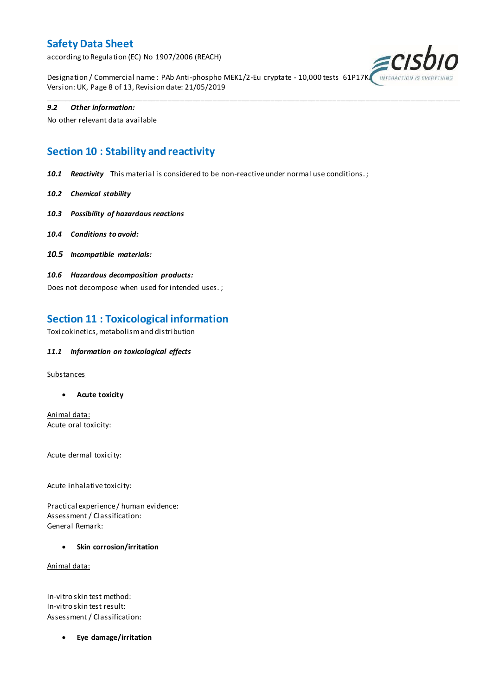according to Regulation (EC) No 1907/2006 (REACH)



Designation / Commercial name : PAb Anti-phospho MEK1/2-Eu cryptate - 10,000 tests 61P17K Version: UK, Page 8 of 13, Revision date: 21/05/2019

\_\_\_\_\_\_\_\_\_\_\_\_\_\_\_\_\_\_\_\_\_\_\_\_\_\_\_\_\_\_\_\_\_\_\_\_\_\_\_\_\_\_\_\_\_\_\_\_\_\_\_\_\_\_\_\_\_\_\_\_\_\_\_\_\_\_\_\_\_\_\_\_\_\_\_\_\_\_\_\_\_\_\_\_\_\_\_\_\_\_\_\_\_\_\_\_\_\_\_\_\_

#### *9.2 Other information:*

No other relevant data available

## **Section 10 : Stability and reactivity**

*10.1 Reactivity* This material is considered to be non-reactive under normal use conditions. ;

- *10.2 Chemical stability*
- *10.3 Possibility of hazardous reactions*
- *10.4 Conditions to avoid:*
- *10.5 Incompatible materials:*
- *10.6 Hazardous decomposition products:*

Does not decompose when used for intended uses. ;

### **Section 11 : Toxicological information**

Toxicokinetics, metabolism and distribution

#### *11.1 Information on toxicological effects*

#### **Substances**

**Acute toxicity**

Animal data: Acute oral toxicity:

Acute dermal toxicity:

Acute inhalative toxicity:

Practical experience / human evidence: Assessment / Classification: General Remark:

**Skin corrosion/irritation**

Animal data:

In-vitro skin test method: In-vitro skin test result: Assessment / Classification:

**Eye damage/irritation**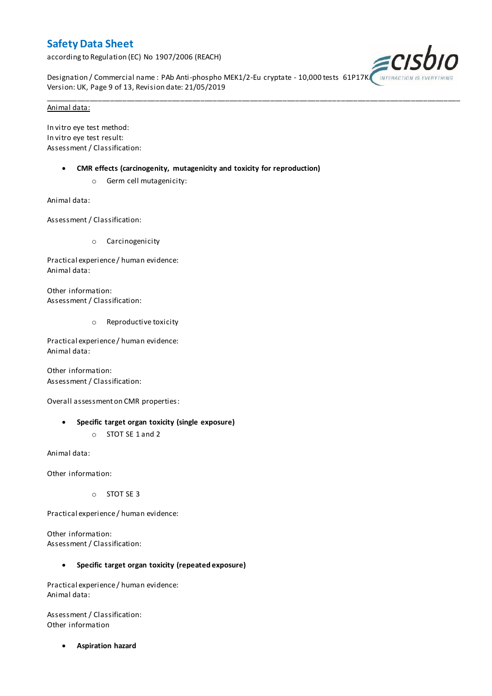according to Regulation (EC) No 1907/2006 (REACH)



Designation / Commercial name : PAb Anti-phospho MEK1/2-Eu cryptate - 10,000 tests 61P17K Version: UK, Page 9 of 13, Revision date: 21/05/2019

\_\_\_\_\_\_\_\_\_\_\_\_\_\_\_\_\_\_\_\_\_\_\_\_\_\_\_\_\_\_\_\_\_\_\_\_\_\_\_\_\_\_\_\_\_\_\_\_\_\_\_\_\_\_\_\_\_\_\_\_\_\_\_\_\_\_\_\_\_\_\_\_\_\_\_\_\_\_\_\_\_\_\_\_\_\_\_\_\_\_\_\_\_\_\_\_\_\_\_\_\_

#### Animal data:

In vitro eye test method: In vitro eye test result: Assessment / Classification:

- **CMR effects (carcinogenity, mutagenicity and toxicity for reproduction)**
	- o Germ cell mutagenicity:

Animal data:

Assessment / Classification:

o Carcinogenicity

Practical experience / human evidence: Animal data:

Other information: Assessment / Classification:

o Reproductive toxicity

Practical experience / human evidence: Animal data:

Other information: Assessment / Classification:

Overall assessment on CMR properties:

- **Specific target organ toxicity (single exposure)**
	- o STOT SE 1 and 2

Animal data:

Other information:

o STOT SE 3

Practical experience / human evidence:

Other information: Assessment / Classification:

#### **Specific target organ toxicity (repeated exposure)**

Practical experience / human evidence: Animal data:

Assessment / Classification: Other information

**Aspiration hazard**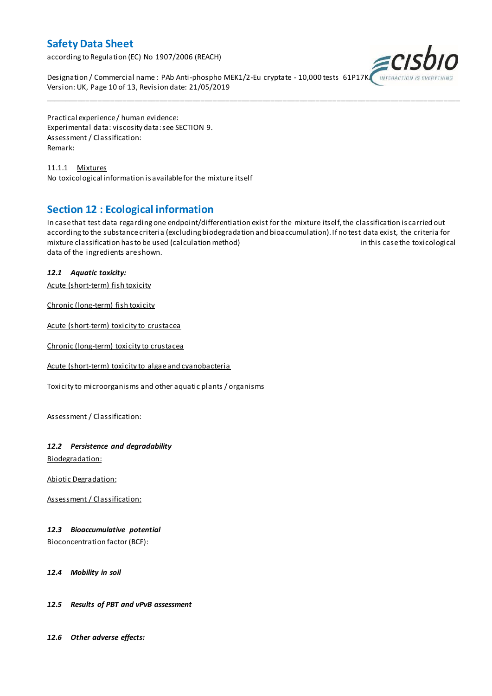according to Regulation (EC) No 1907/2006 (REACH)



Designation / Commercial name : PAb Anti-phospho MEK1/2-Eu cryptate - 10,000 tests 61P17K Version: UK, Page 10 of 13, Revision date: 21/05/2019

Practical experience / human evidence: Experimental data: viscosity data: see SECTION 9. Assessment / Classification: Remark:

11.1.1 Mixtures No toxicological information is available for the mixture itself

### **Section 12 : Ecological information**

In case that test data regarding one endpoint/differentiation exist for the mixture itself, the classification is carried out according to the substance criteria (excluding biodegradation and bioaccumulation). If no test data exist, the criteria for mixture classification has to be used (calculation method) in this case the toxicological data of the ingredients are shown.

\_\_\_\_\_\_\_\_\_\_\_\_\_\_\_\_\_\_\_\_\_\_\_\_\_\_\_\_\_\_\_\_\_\_\_\_\_\_\_\_\_\_\_\_\_\_\_\_\_\_\_\_\_\_\_\_\_\_\_\_\_\_\_\_\_\_\_\_\_\_\_\_\_\_\_\_\_\_\_\_\_\_\_\_\_\_\_\_\_\_\_\_\_\_\_\_\_\_\_\_\_

#### *12.1 Aquatic toxicity:*

Acute (short-term) fish toxicity

Chronic (long-term) fish toxicity

Acute (short-term) toxicity to crustacea

Chronic (long-term) toxicity to crustacea

Acute (short-term) toxicity to algae and cyanobacteria

Toxicity to microorganisms and other aquatic plants / organisms

Assessment / Classification:

#### *12.2 Persistence and degradability*

Biodegradation:

Abiotic Degradation:

Assessment / Classification:

#### *12.3 Bioaccumulative potential*

Bioconcentration factor (BCF):

#### *12.4 Mobility in soil*

#### *12.5 Results of PBT and vPvB assessment*

*12.6 Other adverse effects:*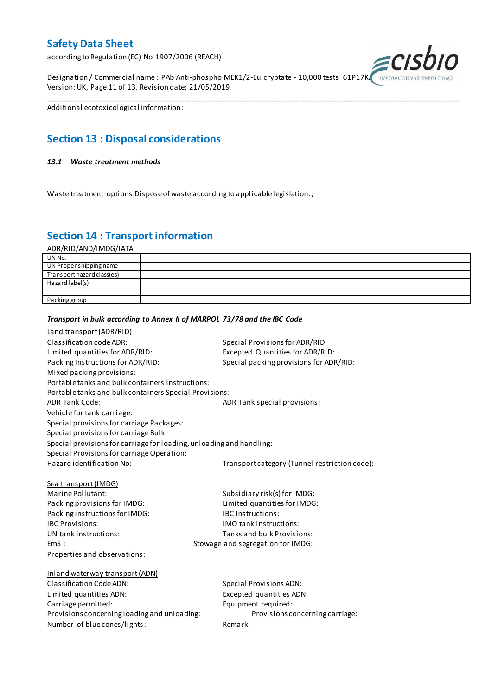according to Regulation (EC) No 1907/2006 (REACH)

Designation / Commercial name : PAb Anti-phospho MEK1/2-Eu cryptate - 10,000 tests 61P17K Version: UK, Page 11 of 13, Revision date: 21/05/2019



Additional ecotoxicological information:

## **Section 13 : Disposal considerations**

#### *13.1 Waste treatment methods*

Waste treatment options:Dispose of waste according to applicable legislation. ;

*Transport in bulk according to Annex II of MARPOL 73/78 and the IBC Code*

### **Section 14 : Transport information**

ADR/RID/AND/IMDG/IATA

| UN No.                     |  |
|----------------------------|--|
| UN Proper shipping name    |  |
| Transport hazard class(es) |  |
| Hazard label(s)            |  |
|                            |  |
| Packing group              |  |

\_\_\_\_\_\_\_\_\_\_\_\_\_\_\_\_\_\_\_\_\_\_\_\_\_\_\_\_\_\_\_\_\_\_\_\_\_\_\_\_\_\_\_\_\_\_\_\_\_\_\_\_\_\_\_\_\_\_\_\_\_\_\_\_\_\_\_\_\_\_\_\_\_\_\_\_\_\_\_\_\_\_\_\_\_\_\_\_\_\_\_\_\_\_\_\_\_\_\_\_\_

### Land transport (ADR/RID) Classification code ADR: Special Provisions for ADR/RID: Limited quantities for ADR/RID:<br>
Packing Instructions for ADR/RID: Special packing provisions for ADI Special packing provisions for ADR/RID: Mixed packing provisions: Portable tanks and bulk containers Instructions: Portable tanks and bulk containers Special Provisions: ADR Tank Code: ADR Tank special provisions: Vehicle for tank carriage: Special provisions for carriage Packages: Special provisions for carriage Bulk: Special provisions for carriage for loading, unloading and handling: Special Provisions for carriage Operation: Hazard identification No: Transport category (Tunnel restriction code): Sea transport (IMDG) Marine Pollutant: Subsidiary risk(s) for IMDG: Packing provisions for IMDG: Limited quantities for IMDG: Packing instructions for IMDG: IBC Instructions: IBC Provisions: IMO tank instructions: UN tank instructions: Tanks and bulk Provisions: EmS : Stowage and segregation for IMDG: Properties and observations: Inland waterway transport (ADN) Classification Code ADN: Special Provisions ADN: Limited quantities ADN: Excepted quantities ADN: Carriage permitted: Carriage permitted: Provisions concerning loading and unloading: Provisions concerning carriage: Number of blue cones/lights: Remark: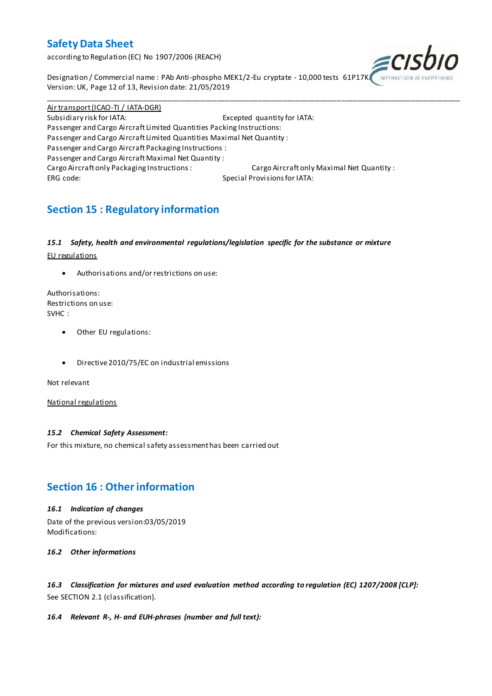according to Regulation (EC) No 1907/2006 (REACH)



Designation / Commercial name : PAb Anti-phospho MEK1/2-Eu cryptate - 10,000 tests 61P17K Version: UK, Page 12 of 13, Revision date: 21/05/2019

Air transport (ICAO-TI / IATA-DGR) Subsidiary risk for IATA: Excepted quantity for IATA: Passenger and Cargo Aircraft Limited Quantities Packing Instructions: Passenger and Cargo Aircraft Limited Quantities Maximal Net Quantity : Passenger and Cargo Aircraft Packaging Instructions : Passenger and Cargo Aircraft Maximal Net Quantity : Cargo Aircraft only Packaging Instructions : Cargo Aircraft only Maximal Net Quantity : ERG code: Special Provisions for IATA:

\_\_\_\_\_\_\_\_\_\_\_\_\_\_\_\_\_\_\_\_\_\_\_\_\_\_\_\_\_\_\_\_\_\_\_\_\_\_\_\_\_\_\_\_\_\_\_\_\_\_\_\_\_\_\_\_\_\_\_\_\_\_\_\_\_\_\_\_\_\_\_\_\_\_\_\_\_\_\_\_\_\_\_\_\_\_\_\_\_\_\_\_\_\_\_\_\_\_\_\_\_

## **Section 15 : Regulatory information**

#### *15.1 Safety, health and environmental regulations/legislation specific for the substance or mixture*

EU regulations

Authorisations and/or restrictions on use:

Authorisations: Restrictions on use: SVHC :

- Other EU regulations:
- Directive 2010/75/EC on industrial emissions

Not relevant

National regulations

#### *15.2 Chemical Safety Assessment:*

For this mixture, no chemical safety assessment has been carried out

### **Section 16 : Other information**

#### *16.1 Indication of changes*

Date of the previous version:03/05/2019 Modifications:

*16.2 Other informations*

*16.3 Classification for mixtures and used evaluation method according to regulation (EC) 1207/2008 [CLP]:* See SECTION 2.1 (classification).

#### *16.4 Relevant R-, H- and EUH-phrases (number and full text):*